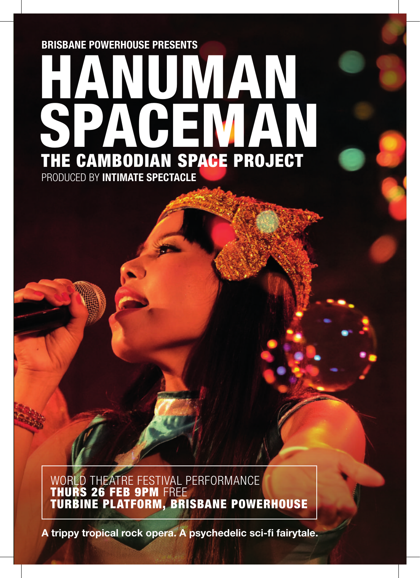# PRODUCED BY INTIMATE SPECTACLE BRISBANE POWERHOUSE PRESENTS UWAN<br>HUWAN SPACEMAN THE CAMBODIAN SPACE PROJECT

WORLD THEATRE FESTIVAL PERFORMANCE THURS 26 FEB 9PM FREE TURBINE PLATFORM, BRISBANE POWERHOUSE

A trippy tropical rock opera. A psychedelic sci-fi fairytale.